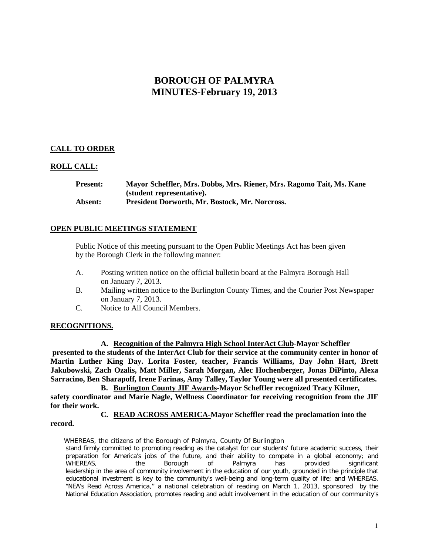# **BOROUGH OF PALMYRA MINUTES-February 19, 2013**

# **CALL TO ORDER**

# **ROLL CALL:**

**Present: Mayor Scheffler, Mrs. Dobbs, Mrs. Riener, Mrs. Ragomo Tait, Ms. Kane (student representative). Absent: President Dorworth, Mr. Bostock, Mr. Norcross.**

## **OPEN PUBLIC MEETINGS STATEMENT**

Public Notice of this meeting pursuant to the Open Public Meetings Act has been given by the Borough Clerk in the following manner:

- A. Posting written notice on the official bulletin board at the Palmyra Borough Hall on January 7, 2013.
- B. Mailing written notice to the Burlington County Times, and the Courier Post Newspaper on January 7, 2013.
- C. Notice to All Council Members.

#### **RECOGNITIONS.**

**A. Recognition of the Palmyra High School InterAct Club-Mayor Scheffler presented to the students of the InterAct Club for their service at the community center in honor of Martin Luther King Day. Lorita Foster, teacher, Francis Williams, Day John Hart, Brett Jakubowski, Zach Ozalis, Matt Miller, Sarah Morgan, Alec Hochenberger, Jonas DiPinto, Alexa Sarracino, Ben Sharapoff, Irene Farinas, Amy Talley, Taylor Young were all presented certificates.** 

**B. Burlington County JIF Awards-Mayor Scheffler recognized Tracy Kilmer, safety coordinator and Marie Nagle, Wellness Coordinator for receiving recognition from the JIF for their work.**

**C. READ ACROSS AMERICA-Mayor Scheffler read the proclamation into the record.** 

WHEREAS, the citizens of the Borough of Palmyra, County Of Burlington stand firmly committed to promoting reading as the catalyst for our students' future academic success, their preparation for America's jobs of the future, and their ability to compete in a global economy; and WHEREAS, the Borough of Palmyra has provided significant WHEREAS, the Borough of Palmyra has provided significant leadership in the area of community involvement in the education of our youth, grounded in the principle that educational investment is key to the community's well-being and long-term quality of life; and WHEREAS, "NEA's Read Across America," a national celebration of reading on March 1, 2013, sponsored by the National Education Association, promotes reading and adult involvement in the education of our community's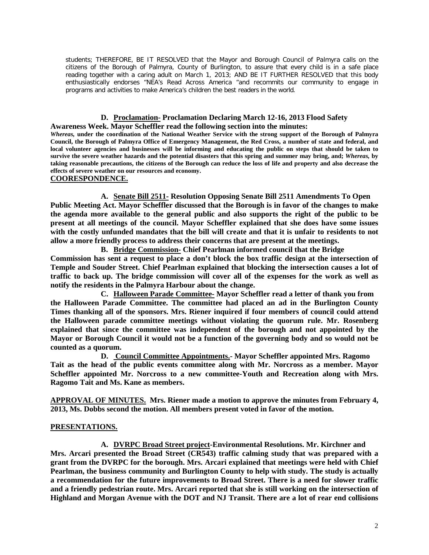students; THEREFORE, BE IT RESOLVED that the Mayor and Borough Council of Palmyra calls on the citizens of the Borough of Palmyra, County of Burlington, to assure that every child is in a safe place reading together with a caring adult on March 1, 2013; AND BE IT FURTHER RESOLVED that this body enthusiastically endorses "NEA's Read Across America "and recommits our community to engage in programs and activities to make America's children the best readers in the world.

#### **D. Proclamation- Proclamation Declaring March 12-16, 2013 Flood Safety Awareness Week. Mayor Scheffler read the following section into the minutes:**

*Whereas,* **under the coordination of the National Weather Service with the strong support of the Borough of Palmyra Council, the Borough of Palmyra Office of Emergency Management, the Red Cross, a number of state and federal, and local volunteer agencies and businesses will be informing and educating the public on steps that should be taken to survive the severe weather hazards and the potential disasters that this spring and summer may bring, and;** *Whereas,* **by taking reasonable precautions, the citizens of the Borough can reduce the loss of life and property and also decrease the effects of severe weather on our resources and economy.**

## **COORESPONDENCE.**

**A. Senate Bill 2511- Resolution Opposing Senate Bill 2511 Amendments To Open Public Meeting Act. Mayor Scheffler discussed that the Borough is in favor of the changes to make the agenda more available to the general public and also supports the right of the public to be present at all meetings of the council. Mayor Scheffler explained that she does have some issues with the costly unfunded mandates that the bill will create and that it is unfair to residents to not allow a more friendly process to address their concerns that are present at the meetings.** 

**B. Bridge Commission- Chief Pearlman informed council that the Bridge Commission has sent a request to place a don't block the box traffic design at the intersection of Temple and Souder Street. Chief Pearlman explained that blocking the intersection causes a lot of traffic to back up. The bridge commission will cover all of the expenses for the work as well as notify the residents in the Palmyra Harbour about the change.** 

**C. Halloween Parade Committee- Mayor Scheffler read a letter of thank you from the Halloween Parade Committee. The committee had placed an ad in the Burlington County Times thanking all of the sponsors. Mrs. Riener inquired if four members of council could attend the Halloween parade committee meetings without violating the quorum rule. Mr. Rosenberg explained that since the committee was independent of the borough and not appointed by the Mayor or Borough Council it would not be a function of the governing body and so would not be counted as a quorum.**

**D. Council Committee Appointments.- Mayor Scheffler appointed Mrs. Ragomo Tait as the head of the public events committee along with Mr. Norcross as a member. Mayor Scheffler appointed Mr. Norcross to a new committee-Youth and Recreation along with Mrs. Ragomo Tait and Ms. Kane as members.** 

**APPROVAL OF MINUTES. Mrs. Riener made a motion to approve the minutes from February 4, 2013, Ms. Dobbs second the motion. All members present voted in favor of the motion.** 

#### **PRESENTATIONS.**

**A. DVRPC Broad Street project-Environmental Resolutions. Mr. Kirchner and Mrs. Arcari presented the Broad Street (CR543) traffic calming study that was prepared with a grant from the DVRPC for the borough. Mrs. Arcari explained that meetings were held with Chief Pearlman, the business community and Burlington County to help with study. The study is actually a recommendation for the future improvements to Broad Street. There is a need for slower traffic and a friendly pedestrian route. Mrs. Arcari reported that she is still working on the intersection of Highland and Morgan Avenue with the DOT and NJ Transit. There are a lot of rear end collisions**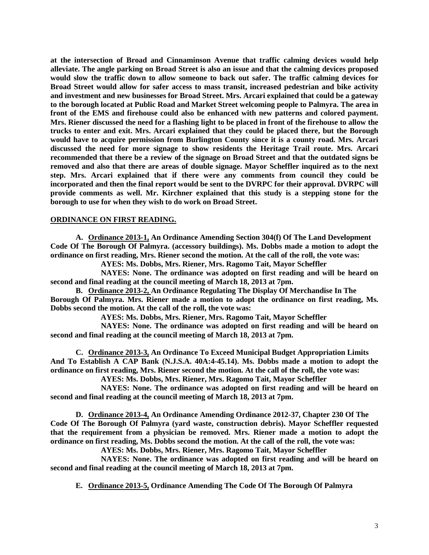**at the intersection of Broad and Cinnaminson Avenue that traffic calming devices would help alleviate. The angle parking on Broad Street is also an issue and that the calming devices proposed would slow the traffic down to allow someone to back out safer. The traffic calming devices for Broad Street would allow for safer access to mass transit, increased pedestrian and bike activity and investment and new businesses for Broad Street. Mrs. Arcari explained that could be a gateway to the borough located at Public Road and Market Street welcoming people to Palmyra. The area in front of the EMS and firehouse could also be enhanced with new patterns and colored payment. Mrs. Riener discussed the need for a flashing light to be placed in front of the firehouse to allow the trucks to enter and exit. Mrs. Arcari explained that they could be placed there, but the Borough would have to acquire permission from Burlington County since it is a county road. Mrs. Arcari discussed the need for more signage to show residents the Heritage Trail route. Mrs. Arcari recommended that there be a review of the signage on Broad Street and that the outdated signs be removed and also that there are areas of double signage. Mayor Scheffler inquired as to the next step. Mrs. Arcari explained that if there were any comments from council they could be incorporated and then the final report would be sent to the DVRPC for their approval. DVRPC will provide comments as well. Mr. Kirchner explained that this study is a stepping stone for the borough to use for when they wish to do work on Broad Street.** 

## **ORDINANCE ON FIRST READING.**

**A. Ordinance 2013-1, An Ordinance Amending Section 304(f) Of The Land Development Code Of The Borough Of Palmyra. (accessory buildings). Ms. Dobbs made a motion to adopt the ordinance on first reading, Mrs. Riener second the motion. At the call of the roll, the vote was:**

**AYES: Ms. Dobbs, Mrs. Riener, Mrs. Ragomo Tait, Mayor Scheffler**

**NAYES: None. The ordinance was adopted on first reading and will be heard on second and final reading at the council meeting of March 18, 2013 at 7pm.** 

**B. Ordinance 2013-2, An Ordinance Regulating The Display Of Merchandise In The Borough Of Palmyra. Mrs. Riener made a motion to adopt the ordinance on first reading, Ms. Dobbs second the motion. At the call of the roll, the vote was:**

**AYES: Ms. Dobbs, Mrs. Riener, Mrs. Ragomo Tait, Mayor Scheffler**

**NAYES: None. The ordinance was adopted on first reading and will be heard on second and final reading at the council meeting of March 18, 2013 at 7pm.** 

**C. Ordinance 2013-3, An Ordinance To Exceed Municipal Budget Appropriation Limits And To Establish A CAP Bank (N.J.S.A. 40A:4-45.14). Ms. Dobbs made a motion to adopt the ordinance on first reading, Mrs. Riener second the motion. At the call of the roll, the vote was:**

**AYES: Ms. Dobbs, Mrs. Riener, Mrs. Ragomo Tait, Mayor Scheffler**

**NAYES: None. The ordinance was adopted on first reading and will be heard on second and final reading at the council meeting of March 18, 2013 at 7pm.** 

**D. Ordinance 2013-4, An Ordinance Amending Ordinance 2012-37, Chapter 230 Of The Code Of The Borough Of Palmyra (yard waste, construction debris). Mayor Scheffler requested that the requirement from a physician be removed. Mrs. Riener made a motion to adopt the ordinance on first reading, Ms. Dobbs second the motion. At the call of the roll, the vote was:**

**AYES: Ms. Dobbs, Mrs. Riener, Mrs. Ragomo Tait, Mayor Scheffler**

**NAYES: None. The ordinance was adopted on first reading and will be heard on second and final reading at the council meeting of March 18, 2013 at 7pm.** 

**E. Ordinance 2013-5, Ordinance Amending The Code Of The Borough Of Palmyra**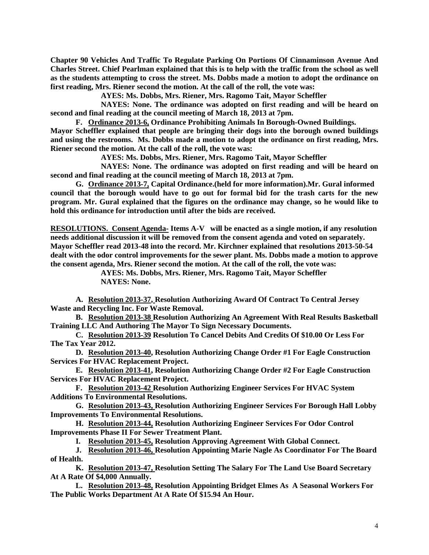**Chapter 90 Vehicles And Traffic To Regulate Parking On Portions Of Cinnaminson Avenue And Charles Street. Chief Pearlman explained that this is to help with the traffic from the school as well as the students attempting to cross the street. Ms. Dobbs made a motion to adopt the ordinance on first reading, Mrs. Riener second the motion. At the call of the roll, the vote was:**

**AYES: Ms. Dobbs, Mrs. Riener, Mrs. Ragomo Tait, Mayor Scheffler**

**NAYES: None. The ordinance was adopted on first reading and will be heard on second and final reading at the council meeting of March 18, 2013 at 7pm.** 

**F. Ordinance 2013-6, Ordinance Prohibiting Animals In Borough-Owned Buildings.**

**Mayor Scheffler explained that people are bringing their dogs into the borough owned buildings and using the restrooms. Ms. Dobbs made a motion to adopt the ordinance on first reading, Mrs. Riener second the motion. At the call of the roll, the vote was:**

**AYES: Ms. Dobbs, Mrs. Riener, Mrs. Ragomo Tait, Mayor Scheffler**

**NAYES: None. The ordinance was adopted on first reading and will be heard on second and final reading at the council meeting of March 18, 2013 at 7pm.** 

**G. Ordinance 2013-7, Capital Ordinance.(held for more information).Mr. Gural informed council that the borough would have to go out for formal bid for the trash carts for the new program. Mr. Gural explained that the figures on the ordinance may change, so he would like to hold this ordinance for introduction until after the bids are received.** 

**RESOLUTIONS. Consent Agenda- Items A-V will be enacted as a single motion, if any resolution needs additional discussion it will be removed from the consent agenda and voted on separately. Mayor Scheffler read 2013-48 into the record. Mr. Kirchner explained that resolutions 2013-50-54 dealt with the odor control improvements for the sewer plant. Ms. Dobbs made a motion to approve the consent agenda, Mrs. Riener second the motion. At the call of the roll, the vote was:**

**AYES: Ms. Dobbs, Mrs. Riener, Mrs. Ragomo Tait, Mayor Scheffler NAYES: None.**

**A. Resolution 2013-37, Resolution Authorizing Award Of Contract To Central Jersey Waste and Recycling Inc. For Waste Removal.**

**B. Resolution 2013-38 Resolution Authorizing An Agreement With Real Results Basketball Training LLC And Authoring The Mayor To Sign Necessary Documents.**

**C. Resolution 2013-39 Resolution To Cancel Debits And Credits Of \$10.00 Or Less For The Tax Year 2012.**

**D. Resolution 2013-40, Resolution Authorizing Change Order #1 For Eagle Construction Services For HVAC Replacement Project.**

**E. Resolution 2013-41, Resolution Authorizing Change Order #2 For Eagle Construction Services For HVAC Replacement Project.**

**F. Resolution 2013-42 Resolution Authorizing Engineer Services For HVAC System Additions To Environmental Resolutions.**

**G. Resolution 2013-43, Resolution Authorizing Engineer Services For Borough Hall Lobby Improvements To Environmental Resolutions.** 

**H. Resolution 2013-44, Resolution Authorizing Engineer Services For Odor Control Improvements Phase II For Sewer Treatment Plant.**

**I. Resolution 2013-45, Resolution Approving Agreement With Global Connect.**

**J. Resolution 2013-46, Resolution Appointing Marie Nagle As Coordinator For The Board of Health.**

**K. Resolution 2013-47, Resolution Setting The Salary For The Land Use Board Secretary At A Rate Of \$4,000 Annually.**

**L. Resolution 2013-48, Resolution Appointing Bridget Elmes As A Seasonal Workers For The Public Works Department At A Rate Of \$15.94 An Hour.**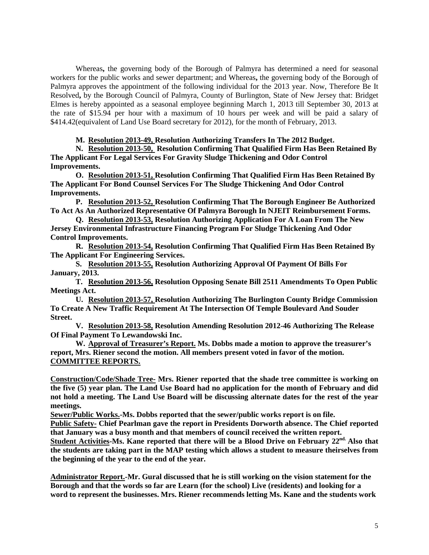Whereas**,** the governing body of the Borough of Palmyra has determined a need for seasonal workers for the public works and sewer department; and Whereas**,** the governing body of the Borough of Palmyra approves the appointment of the following individual for the 2013 year. Now, Therefore Be It Resolved**,** by the Borough Council of Palmyra, County of Burlington, State of New Jersey that: Bridget Elmes is hereby appointed as a seasonal employee beginning March 1, 2013 till September 30, 2013 at the rate of \$15.94 per hour with a maximum of 10 hours per week and will be paid a salary of \$414.42(equivalent of Land Use Board secretary for 2012), for the month of February, 2013.

# **M. Resolution 2013-49, Resolution Authorizing Transfers In The 2012 Budget.**

**N. Resolution 2013-50, Resolution Confirming That Qualified Firm Has Been Retained By The Applicant For Legal Services For Gravity Sludge Thickening and Odor Control Improvements.**

**O. Resolution 2013-51, Resolution Confirming That Qualified Firm Has Been Retained By The Applicant For Bond Counsel Services For The Sludge Thickening And Odor Control Improvements.**

**P. Resolution 2013-52, Resolution Confirming That The Borough Engineer Be Authorized To Act As An Authorized Representative Of Palmyra Borough In NJEIT Reimbursement Forms.** 

**Q. Resolution 2013-53, Resolution Authorizing Application For A Loan From The New Jersey Environmental Infrastructure Financing Program For Sludge Thickening And Odor Control Improvements.** 

**R. Resolution 2013-54, Resolution Confirming That Qualified Firm Has Been Retained By The Applicant For Engineering Services.**

**S. Resolution 2013-55, Resolution Authorizing Approval Of Payment Of Bills For January, 2013.** 

**T. Resolution 2013-56, Resolution Opposing Senate Bill 2511 Amendments To Open Public Meetings Act.**

**U. Resolution 2013-57, Resolution Authorizing The Burlington County Bridge Commission To Create A New Traffic Requirement At The Intersection Of Temple Boulevard And Souder Street.**

**V. Resolution 2013-58, Resolution Amending Resolution 2012-46 Authorizing The Release Of Final Payment To Lewandowski Inc.**

**W. Approval of Treasurer's Report. Ms. Dobbs made a motion to approve the treasurer's report, Mrs. Riener second the motion. All members present voted in favor of the motion. COMMITTEE REPORTS.**

**Construction/Code/Shade Tree- Mrs. Riener reported that the shade tree committee is working on the five (5) year plan. The Land Use Board had no application for the month of February and did not hold a meeting. The Land Use Board will be discussing alternate dates for the rest of the year meetings.** 

**Sewer/Public Works.-Ms. Dobbs reported that the sewer/public works report is on file.**

**Public Safety- Chief Pearlman gave the report in Presidents Dorworth absence. The Chief reported that January was a busy month and that members of council received the written report.**

Student Activities-Ms. Kane reported that there will be a Blood Drive on February 22<sup>nd.</sup> Also that **the students are taking part in the MAP testing which allows a student to measure theirselves from the beginning of the year to the end of the year.** 

**Administrator Report.-Mr. Gural discussed that he is still working on the vision statement for the Borough and that the words so far are Learn (for the school) Live (residents) and looking for a word to represent the businesses. Mrs. Riener recommends letting Ms. Kane and the students work**